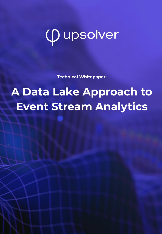# *Q* upsolver

**Technical Whitepaper:**

## **A Data Lake Approach to Event Stream Analytics**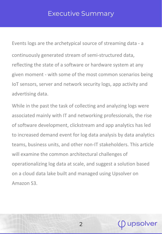#### Executive Summary

Events logs are the archetypical source of streaming data - a continuously generated stream of semi-structured data, reflecting the state of a software or hardware system at any given moment - with some of the most common scenarios being IoT sensors, server and network security logs, app activity and advertising data.

While in the past the task of collecting and analyzing logs were associated mainly with IT and networking professionals, the rise of software development, clickstream and app analytics has led to increased demand event for log data analysis by data analytics teams, business units, and other non-IT stakeholders. This article will examine the common architectural challenges of operationalizing log data at scale, and suggest a solution based on a cloud data lake built and managed using Upsolver on Amazon S3.

 $\mathcal{P}$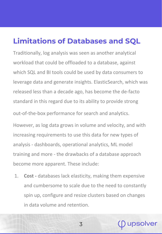#### **Limitations of Databases and SQL**

Traditionally, log analysis was seen as another analytical workload that could be offloaded to a database, against which SQL and BI tools could be used by data consumers to leverage data and generate insights. ElasticSearch, which was released less than a decade ago, has become the de-facto standard in this regard due to its ability to provide strong

out-of-the-box performance for search and analytics.

However, as log data grows in volume and velocity, and with increasing requirements to use this data for new types of analysis - dashboards, operational analytics, ML model training and more - the drawbacks of a database approach become more apparent. These include:

1. **Cost -** databases lack elasticity, making them expensive and cumbersome to scale due to the need to constantly spin up, configure and resize clusters based on changes in data volume and retention.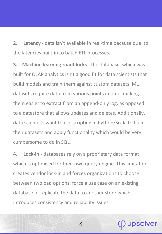**2. Latency -** data isn't available in real-time because due to the latencies built-in to batch ETL processes.

**3. Machine learning roadblocks -** the database, which was built for OLAP analytics isn't a good fit for data scientists that build models and train them against custom datasets. ML datasets require data from various points in time, making them easier to extract from an append-only log, as opposed to a datastore that allows updates and deletes. Additionally, data scientists want to use scripting in Python/Scala to build their datasets and apply functionality which would be very cumbersome to do in SQL.

**4. Lock-in -** databases rely on a proprietary data format which is optimised for their own query engine. This limitation creates vendor lock-in and forces organizations to choose between two bad options: force a use case on an existing database or replicate the data to another store which introduces consistency and reliability issues.

4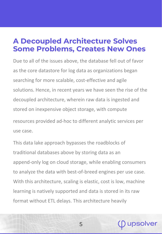#### **A Decoupled Architecture Solves Some Problems, Creates New Ones**

Due to all of the issues above, the database fell out of favor as the core datastore for log data as organizations began searching for more scalable, cost-effective and agile solutions. Hence, in recent years we have seen the rise of the decoupled architecture, wherein raw data is ingested and stored on inexpensive object storage, with compute resources provided ad-hoc to different analytic services per use case.

This data lake approach bypasses the roadblocks of traditional databases above by storing data as an append-only log on cloud storage, while enabling consumers to analyze the data with best-of-breed engines per use case. With this architecture, scaling is elastic, cost is low, machine learning is natively supported and data is stored in its raw format without ETL delays. This architecture heavily

5

<u>ipsolver</u>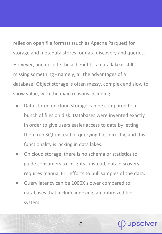relies on open file formats (such as Apache Parquet) for storage and metadata stores for data discovery and queries. However, and despite these benefits, a data lake is still missing something - namely, all the advantages of a database! Object storage is often messy, complex and slow to show value, with the main reasons including:

- Data stored on cloud storage can be compared to a bunch of files on disk. Databases were invented exactly in order to give users easier access to data by letting them run SQL instead of querying files directly, and this functionality is lacking in data lakes.
- On cloud storage, there is no schema or statistics to guide consumers to insights - instead, data discovery requires manual ETL efforts to pull samples of the data.

6

upsolver

Query latency can be 1000X slower compared to databases that include indexing, an optimized file system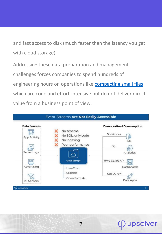and fast access to disk (much faster than the latency you get with cloud storage).

Addressing these data preparation and management challenges forces companies to spend hundreds of engineering hours on operations like [compacting small files](https://www.upsolver.com/blog/small-file-problem-hdfs-s3), which are code and effort-intensive but do not deliver direct value from a business point of view.



7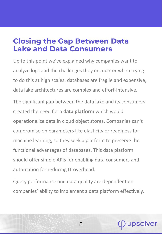#### **Closing the Gap Between Data Lake and Data Consumers**

Up to this point we've explained why companies want to analyze logs and the challenges they encounter when trying to do this at high scales: databases are fragile and expensive, data lake architectures are complex and effort-intensive.

The significant gap between the data lake and its consumers created the need for a **data platform** which would operationalize data in cloud object stores. Companies can't compromise on parameters like elasticity or readiness for machine learning, so they seek a platform to preserve the functional advantages of databases. This data platform should offer simple APIs for enabling data consumers and automation for reducing IT overhead.

Query performance and data quality are dependent on companies' ability to implement a data platform effectively.

8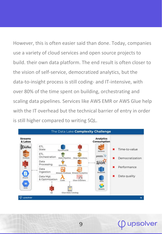However, this is often easier said than done. Today, companies use a variety of cloud services and open source projects to build. their own data platform. The end result is often closer to the vision of self-service, democratized analytics, but the data-to-insight process is still coding- and IT-intensive, with over 80% of the time spent on building, orchestrating and scaling data pipelines. Services like AWS EMR or AWS Glue help with the IT overhead but the technical barrier of entry in order is still higher compared to writing SQL.

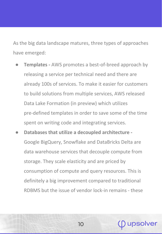As the big data landscape matures, three types of approaches have emerged:

- **Templates AWS promotes a best-of-breed approach by** releasing a service per technical need and there are already 100s of services. To make it easier for customers to build solutions from multiple services, AWS released Data Lake Formation (in preview) which utilizes pre-defined templates in order to save some of the time spent on writing code and integrating services.
- **Databases that utilize a decoupled architecture**  Google BigQuery, Snowflake and DataBricks Delta are data warehouse services that decouple compute from storage. They scale elasticity and are priced by consumption of compute and query resources. This is definitely a big improvement compared to traditional RDBMS but the issue of vendor lock-in remains - these

10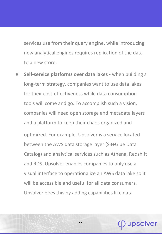services use from their query engine, while introducing new analytical engines requires replication of the data to a new store.

**Self-service platforms over data lakes -** when building a long-term strategy, companies want to use data lakes for their cost-effectiveness while data consumption tools will come and go. To accomplish such a vision, companies will need open storage and metadata layers and a platform to keep their chaos organized and optimized. For example, Upsolver is a service located between the AWS data storage layer (S3+Glue Data Catalog) and analytical services such as Athena, Redshift and RDS. Upsolver enables companies to only use a visual interface to operationalize an AWS data lake so it will be accessible and useful for all data consumers. Upsolver does this by adding capabilities like data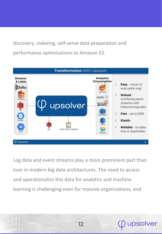discovery, indexing, self-serve data preparation and performance optimizations to Amazon S3.



Log data and event streams play a more prominent part than ever in modern big data architectures. The need to access and operationalize this data for analytics and machine learning is challenging even for massive organizations, and

ipsolver